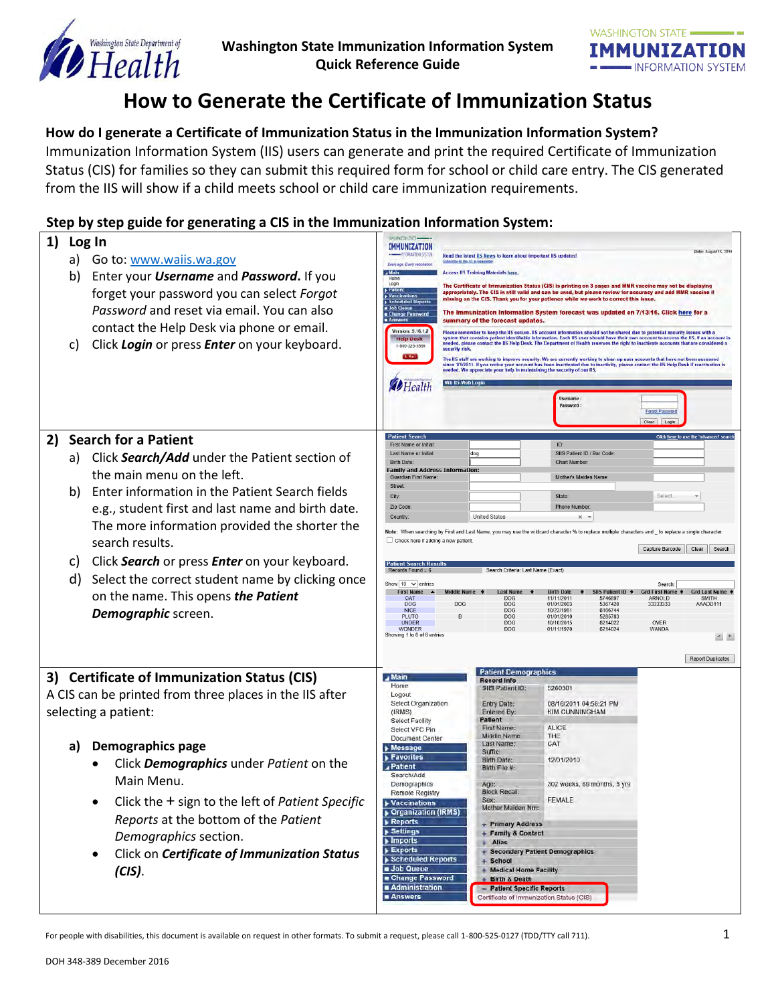



# **How to Generate the Certificate of Immunization Status**

## **How do I generate a Certificate of Immunization Status in the Immunization Information System?**

Immunization Information System (IIS) users can generate and print the required Certificate of Immunization Status (CIS) for families so they can submit this required form for school or child care entry. The CIS generated from the IIS will show if a child meets school or child care immunization requirements.

## **Step by step guide for generating a CIS in the Immunization Information System:**

| 1) | Log In<br>Go to: www.waiis.wa.gov<br>a)<br>Enter your <i>Username</i> and <i>Password</i> . If you<br>b)<br>forget your password you can select Forgot<br>Password and reset via email. You can also<br>contact the Help Desk via phone or email.<br>Click Login or press Enter on your keyboard.<br>C)                                                                                                                                                                          | IMMUNIZATION<br>Date: August 15, 201<br>--- INFORMATION SYSTEM<br>Read the latest IIS News to learn about important IIS updates)<br>Substitle in the US a Newtiette<br>Every age. Every vaccination<br>a Main<br><b>Access IIS Training Materials here.</b><br>Login<br>The Certificate of Immunization Status (CIS) is printing on 3 pages and MMR vaccine may not be displaying<br>appropriately. The CIS is still valid and can be used, but please review for accuracy and add MMR vaccine il<br><b>Vaccin</b><br>missing on the CIS. Thank you for your patience while we work to correct this issue<br>Job Queue<br>The Immunization Information System forecast was updated on 7/13/16. Click here for a<br>Change Password<br>summary of the forecast updates.<br>Version: 5.16.1.2<br>Please remember to keep the IIS secure. IIS account information should not be shared due to potential security issues with a<br>system that contains patient identifiable information. Each IIS user should have their own account to access the IIS. If an account is<br><b>Help Desk</b><br>needed, please contact the IIS Help Desk. The Department of Health reserves the right to inactivate ac-<br>1-800-325-5599<br>security risk.<br>The IIS staff are working to improve security. We are currently working to clean up user accounts that have not been accessed<br>since 1/1/2011. If you notice your account has been inactivated due to inactivity, please contact the IIS Help Desk if reactivation is<br>needed. We appreciate your help in maintaining the security of our BS.<br><b>WA Its Web Lo</b><br><b>D</b> Health<br><b>Username</b><br>Password:<br>Forgot Pag<br>Clear Login |
|----|----------------------------------------------------------------------------------------------------------------------------------------------------------------------------------------------------------------------------------------------------------------------------------------------------------------------------------------------------------------------------------------------------------------------------------------------------------------------------------|-------------------------------------------------------------------------------------------------------------------------------------------------------------------------------------------------------------------------------------------------------------------------------------------------------------------------------------------------------------------------------------------------------------------------------------------------------------------------------------------------------------------------------------------------------------------------------------------------------------------------------------------------------------------------------------------------------------------------------------------------------------------------------------------------------------------------------------------------------------------------------------------------------------------------------------------------------------------------------------------------------------------------------------------------------------------------------------------------------------------------------------------------------------------------------------------------------------------------------------------------------------------------------------------------------------------------------------------------------------------------------------------------------------------------------------------------------------------------------------------------------------------------------------------------------------------------------------------------------------------------------------------------------------------------------------------------------|
| 2) | <b>Search for a Patient</b><br>Click Search/Add under the Patient section of<br>a)<br>the main menu on the left.<br>Enter information in the Patient Search fields<br>b)<br>e.g., student first and last name and birth date.<br>The more information provided the shorter the<br>search results.<br>Click Search or press Enter on your keyboard.<br>C)<br>d)<br>Select the correct student name by clicking once<br>on the name. This opens the Patient<br>Demographic screen. | <b>Patient Search</b><br>Click here to use the 'adva<br>ID:<br>First Name or Initia<br>SIIS Patient ID / Bar Code<br>Last Name or Initia<br>dog<br><b>Birth Date</b><br><b>Chart Number</b><br>Family and Address Information:<br><b>Guardian First Name</b><br>Mother's Maiden Nam<br>Street<br>Select<br>City:<br>State<br>Zip Code<br><b>Phone Number</b><br><b>United States</b><br>Country<br>$\times$ $\times$<br>Note: When searching by First and Last Name, you may use the wildcard character % to replace multiple characters and to replace a single character<br>Check here if adding a new patient<br>Capture Barcode<br>Clear<br>Search<br><b>Patient Search Resul</b><br>Search Criteria: Last Name (Exact<br>Show $10 \sqrt{\pi}$ entries<br>Search<br><b>First Name</b><br><b>Grd First Name</b><br><b>Birth Date</b><br><b>S Patient ID</b><br>rd Last Name<br>11/11/2011<br>5746897<br>SMITH<br>CAT<br><b>DOG</b><br><b>ARNOLD</b><br>DOG<br>DOG<br>5367420<br>33333333<br>AAADD111<br><b>DOG</b><br>01/01/2003<br>6166744<br><b>NICE</b><br>10/23/1981<br><b>DOG</b><br><b>PLUTO</b><br>01/01/2010<br>5285783<br>R<br><b>DOG</b><br><b>UNDER</b><br>DOG<br>10/10/2015<br>6214022<br>OVER<br><b>WONDER</b><br>01/11/1970<br>6214024<br><b>WANDA</b><br><b>DOG</b><br>Showing 1 to 6 of 6 entries<br>$\begin{array}{c c c c} \hline \textbf{r} & \textbf{r} \\\hline \end{array}$<br><b>Report Duplicates</b>                                                                                                                                                                                                                                                                      |
|    | 3) Certificate of Immunization Status (CIS)<br>A CIS can be printed from three places in the IIS after<br>selecting a patient:<br><b>Demographics page</b><br>a)<br>Click Demographics under Patient on the<br>Main Menu.<br>Click the + sign to the left of Patient Specific<br>٠<br>Reports at the bottom of the Patient<br>Demographics section.<br>Click on Certificate of Immunization Status<br>$(CIS)$ .                                                                  | <b>Patient Demographics</b><br>$\sqrt{$ Main<br><b>Record Info</b><br>Home<br>SIIS Patient ID:<br>5260301<br>Logout<br>Select Organization<br>08/16/2011 04:58:21 PM<br><b>Entry Date:</b><br><b>KIM CUNNINGHAM</b><br>(IRMS)<br><b>Entered By:</b><br>Patient<br>Select Facility<br><b>ALICE</b><br>First Name:<br>Select VFC Pin<br>THE<br>Middle Name<br><b>Document Center</b><br>CAT<br>Last Name:<br><b>Message</b><br><b>Suffix:</b><br><b>Favorites</b><br>Birth Date:<br>12/01/2010<br><b>Patient</b><br>Blith File #<br>Search/Add<br>Demographics<br>302 weeks, 69 months, 5 yrs<br>Age:<br><b>Block Recall</b><br>Remote Registry<br>FEMALE<br>Sex:<br>▶ Vaccinations<br>Mother Maiden Nm:<br><b>Organization (IRMS)</b><br><b>Reports</b><br>+ Primary Address<br>Settings<br>+ Family & Contact<br>Imports<br>Alias<br><b>Exports</b><br>+ Secondary Patient Demographics<br>Scheduled Reports<br>$+$ School<br>Job Queue<br>+ Medical Home Facility<br>Change Password<br>+ Birth & Death<br>Administration<br>- Patient Specific Reports<br><b>Answers</b><br>Certificate of Immunization Status (CIS)                                                                                                                                                                                                                                                                                                                                                                                                                                                                                                                                                                                |

For people with disabilities, this document is available on request in other formats. To submit a request, please call 1-800-525-0127 (TDD/TTY call 711).  $1$